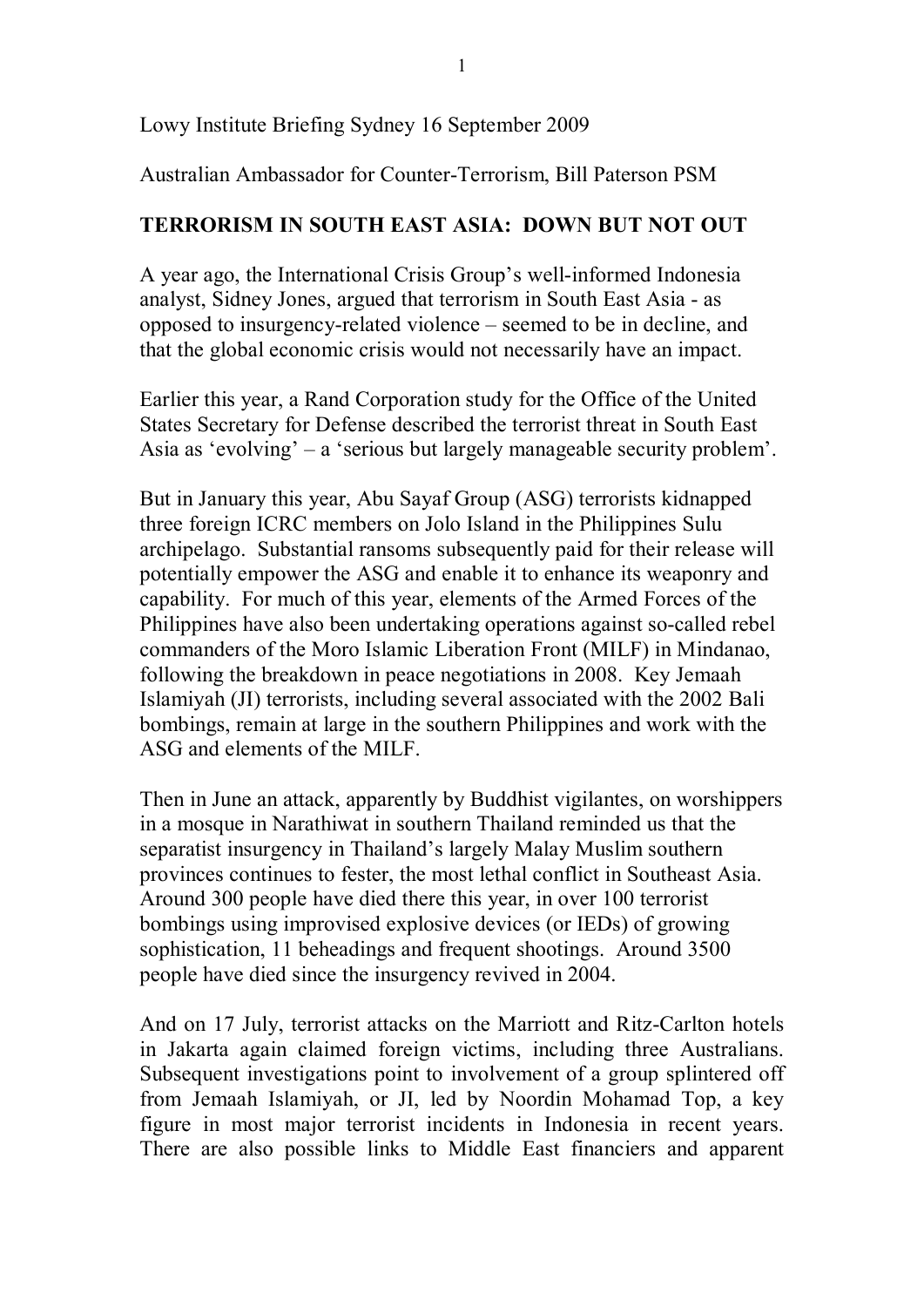Lowy Institute Briefing Sydney 16 September 2009

Australian Ambassador for Counter-Terrorism, Bill Paterson PSM

## **TERRORISM IN SOUTH EAST ASIA: DOWN BUT NOT OUT**

A year ago, the International Crisis Group's well-informed Indonesia analyst, Sidney Jones, argued that terrorism in South East Asia as opposed to insurgency-related violence – seemed to be in decline, and that the global economic crisis would not necessarily have an impact.

Earlier this year, a Rand Corporation study for the Office of the United States Secretary for Defense described the terrorist threat in South East Asia as 'evolving' – a 'serious but largely manageable security problem'.

But in January this year, Abu Sayaf Group (ASG) terrorists kidnapped three foreign ICRC members on Jolo Island in the Philippines Sulu archipelago. Substantial ransoms subsequently paid for their release will potentially empower the ASG and enable it to enhance its weaponry and capability. For much of this year, elements of the Armed Forces of the Philippines have also been undertaking operations against so-called rebel commanders of the Moro Islamic Liberation Front (MILF) in Mindanao, following the breakdown in peace negotiations in 2008. Key Jemaah Islamiyah (JI) terrorists, including several associated with the 2002 Bali bombings, remain at large in the southern Philippines and work with the ASG and elements of the MILF.

Then in June an attack, apparently by Buddhist vigilantes, on worshippers in a mosque in Narathiwat in southern Thailand reminded us that the separatist insurgency in Thailand's largely Malay Muslim southern provinces continues to fester, the most lethal conflict in Southeast Asia. Around 300 people have died there this year, in over 100 terrorist bombings using improvised explosive devices (or IEDs) of growing sophistication, 11 beheadings and frequent shootings. Around 3500 people have died since the insurgency revived in 2004.

And on 17 July, terrorist attacks on the Marriott and Ritz-Carlton hotels in Jakarta again claimed foreign victims, including three Australians. Subsequent investigations point to involvement of a group splintered off from Jemaah Islamiyah, or JI, led by Noordin Mohamad Top, a key figure in most major terrorist incidents in Indonesia in recent years. There are also possible links to Middle East financiers and apparent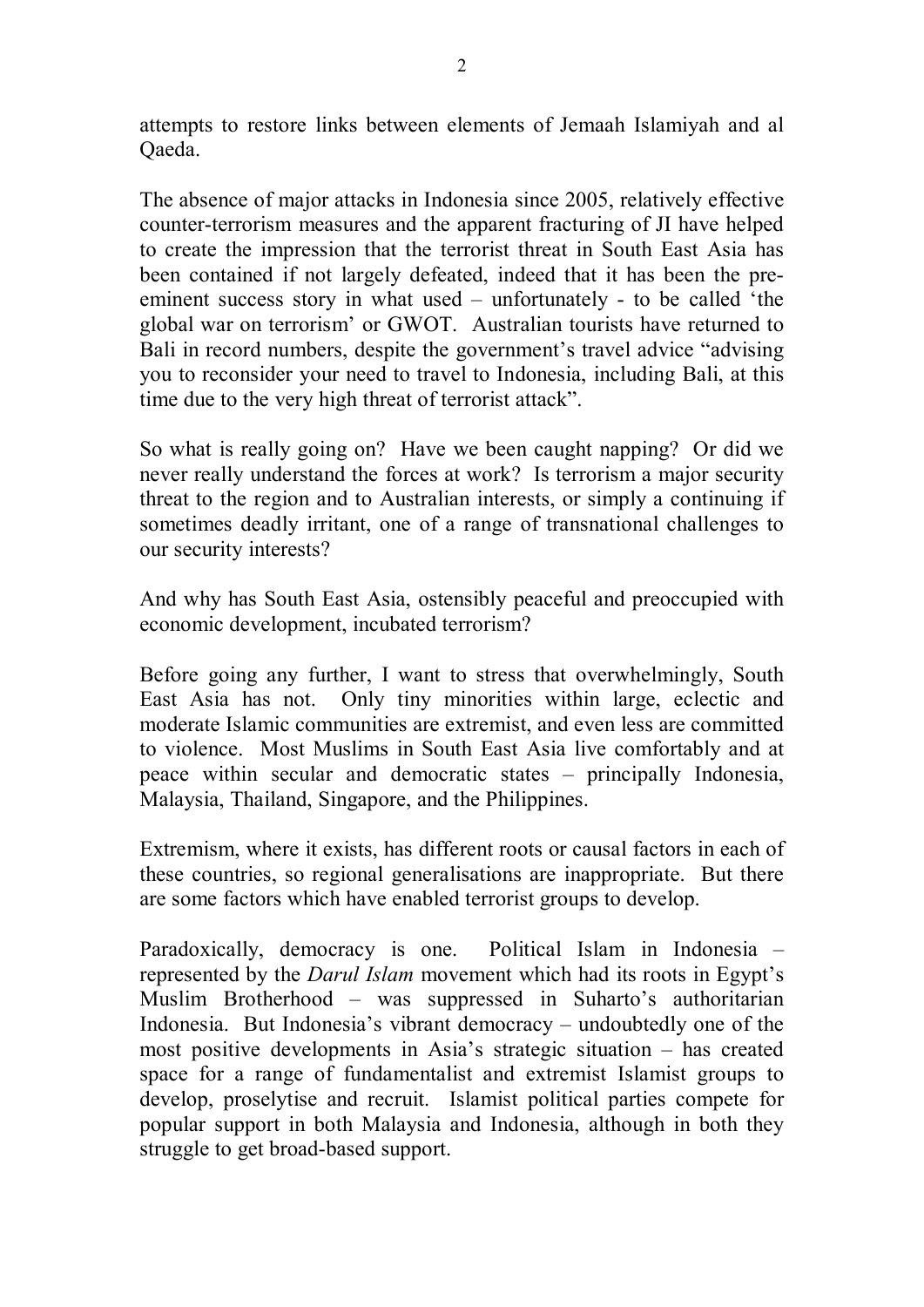attempts to restore links between elements of Jemaah Islamiyah and al Qaeda.

The absence of major attacks in Indonesia since 2005, relatively effective counter-terrorism measures and the apparent fracturing of JI have helped to create the impression that the terrorist threat in South East Asia has been contained if not largely defeated, indeed that it has been the pre eminent success story in what used  $-$  unfortunately  $-$  to be called 'the global war on terrorism' or GWOT. Australian tourists have returned to Bali in record numbers, despite the government's travel advice "advising you to reconsider your need to travel to Indonesia, including Bali, at this time due to the very high threat of terrorist attack".

So what is really going on? Have we been caught napping? Or did we never really understand the forces at work? Is terrorism a major security threat to the region and to Australian interests, or simply a continuing if sometimes deadly irritant, one of a range of transnational challenges to our security interests?

And why has South East Asia, ostensibly peaceful and preoccupied with economic development, incubated terrorism?

Before going any further, I want to stress that overwhelmingly, South East Asia has not. Only tiny minorities within large, eclectic and moderate Islamic communities are extremist, and even less are committed to violence. Most Muslims in South East Asia live comfortably and at peace within secular and democratic states – principally Indonesia, Malaysia, Thailand, Singapore, and the Philippines.

Extremism, where it exists, has different roots or causal factors in each of these countries, so regional generalisations are inappropriate. But there are some factors which have enabled terrorist groups to develop.

Paradoxically, democracy is one. Political Islam in Indonesia – represented by the *Darul Islam* movement which had its roots in Egypt's Muslim Brotherhood – was suppressed in Suharto's authoritarian Indonesia. But Indonesia's vibrant democracy – undoubtedly one of the most positive developments in Asia's strategic situation – has created space for a range of fundamentalist and extremist Islamist groups to develop, proselytise and recruit. Islamist political parties compete for popular support in both Malaysia and Indonesia, although in both they struggle to get broad-based support.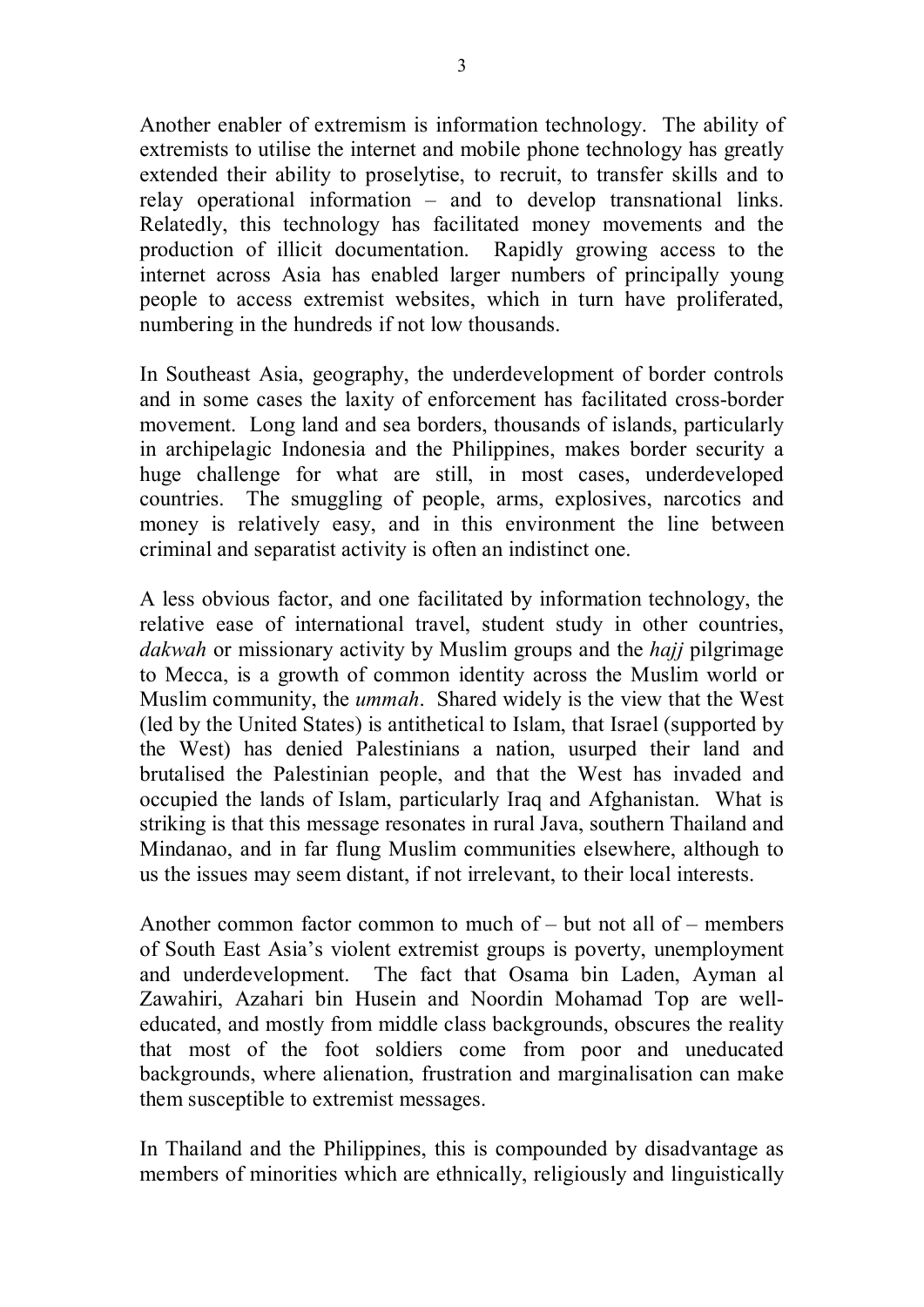Another enabler of extremism is information technology. The ability of extremists to utilise the internet and mobile phone technology has greatly extended their ability to proselytise, to recruit, to transfer skills and to relay operational information – and to develop transnational links. Relatedly, this technology has facilitated money movements and the production of illicit documentation. Rapidly growing access to the internet across Asia has enabled larger numbers of principally young people to access extremist websites, which in turn have proliferated, numbering in the hundreds if not low thousands.

In Southeast Asia, geography, the underdevelopment of border controls and in some cases the laxity of enforcement has facilitated cross-border movement. Long land and sea borders, thousands of islands, particularly in archipelagic Indonesia and the Philippines, makes border security a huge challenge for what are still, in most cases, underdeveloped countries. The smuggling of people, arms, explosives, narcotics and money is relatively easy, and in this environment the line between criminal and separatist activity is often an indistinct one.

A less obvious factor, and one facilitated by information technology, the relative ease of international travel, student study in other countries, *dakwah* or missionary activity by Muslim groups and the *hajj* pilgrimage to Mecca, is a growth of common identity across the Muslim world or Muslim community, the *ummah*. Shared widely is the view that the West (led by the United States) is antithetical to Islam, that Israel (supported by the West) has denied Palestinians a nation, usurped their land and brutalised the Palestinian people, and that the West has invaded and occupied the lands of Islam, particularly Iraq and Afghanistan. What is striking is that this message resonates in rural Java, southern Thailand and Mindanao, and in far flung Muslim communities elsewhere, although to us the issues may seem distant, if not irrelevant, to their local interests.

Another common factor common to much of – but not all of – members of South East Asia's violent extremist groups is poverty, unemployment and underdevelopment. The fact that Osama bin Laden, Ayman al Zawahiri, Azahari bin Husein and Noordin Mohamad Top are welleducated, and mostly from middle class backgrounds, obscures the reality that most of the foot soldiers come from poor and uneducated backgrounds, where alienation, frustration and marginalisation can make them susceptible to extremist messages.

In Thailand and the Philippines, this is compounded by disadvantage as members of minorities which are ethnically, religiously and linguistically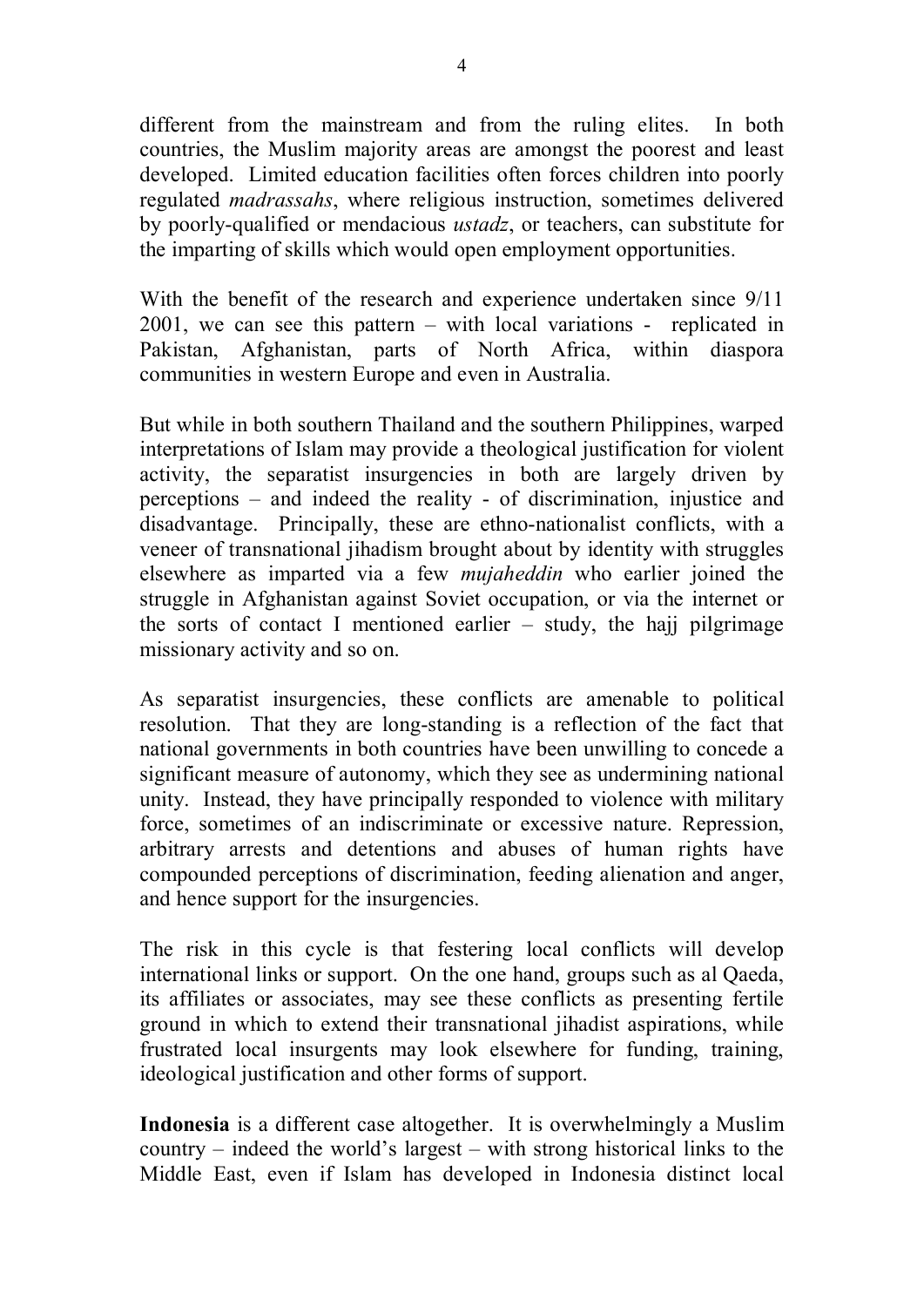different from the mainstream and from the ruling elites. In both countries, the Muslim majority areas are amongst the poorest and least developed. Limited education facilities often forces children into poorly regulated *madrassahs*, where religious instruction, sometimes delivered by poorly-qualified or mendacious *ustadz*, or teachers, can substitute for the imparting of skills which would open employment opportunities.

With the benefit of the research and experience undertaken since 9/11  $2001$ , we can see this pattern – with local variations - replicated in Pakistan, Afghanistan, parts of North Africa, within diaspora communities in western Europe and even in Australia.

But while in both southern Thailand and the southern Philippines, warped interpretations of Islam may provide a theological justification for violent activity, the separatist insurgencies in both are largely driven by perceptions – and indeed the reality of discrimination, injustice and disadvantage. Principally, these are ethno-nationalist conflicts, with a veneer of transnational jihadism brought about by identity with struggles elsewhere as imparted via a few *mujaheddin* who earlier joined the struggle in Afghanistan against Soviet occupation, or via the internet or the sorts of contact I mentioned earlier  $-$  study, the hajj pilgrimage missionary activity and so on.

As separatist insurgencies, these conflicts are amenable to political resolution. That they are long-standing is a reflection of the fact that national governments in both countries have been unwilling to concede a significant measure of autonomy, which they see as undermining national unity. Instead, they have principally responded to violence with military force, sometimes of an indiscriminate or excessive nature. Repression, arbitrary arrests and detentions and abuses of human rights have compounded perceptions of discrimination, feeding alienation and anger, and hence support for the insurgencies.

The risk in this cycle is that festering local conflicts will develop international links or support. On the one hand, groups such as al Qaeda, its affiliates or associates, may see these conflicts as presenting fertile ground in which to extend their transnational jihadist aspirations, while frustrated local insurgents may look elsewhere for funding, training, ideological justification and other forms of support.

**Indonesia** is a different case altogether. It is overwhelmingly a Muslim country – indeed the world's largest – with strong historical links to the Middle East, even if Islam has developed in Indonesia distinct local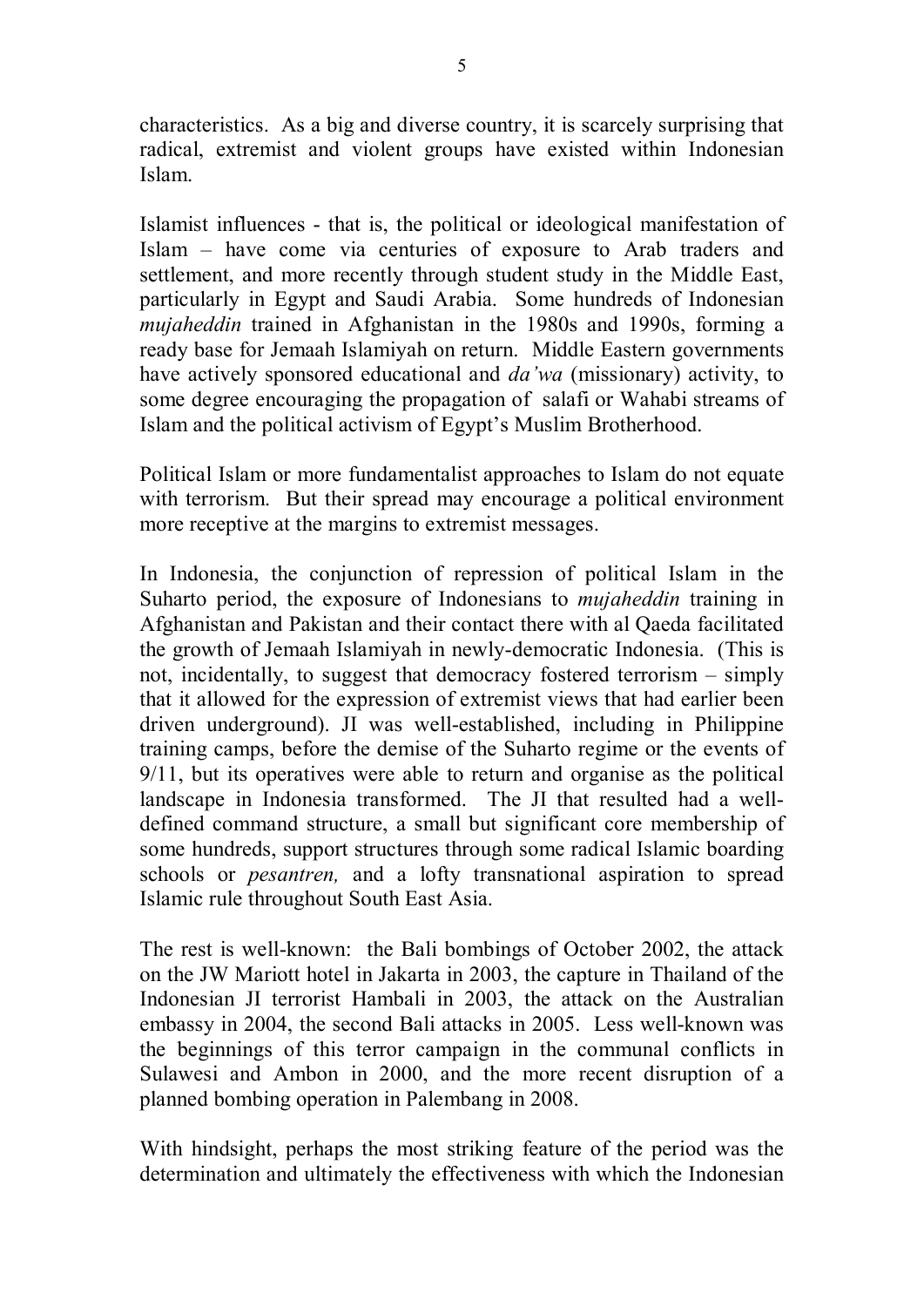characteristics. As a big and diverse country, it is scarcely surprising that radical, extremist and violent groups have existed within Indonesian Islam.

Islamist influences - that is, the political or ideological manifestation of Islam – have come via centuries of exposure to Arab traders and settlement, and more recently through student study in the Middle East, particularly in Egypt and Saudi Arabia. Some hundreds of Indonesian *mujaheddin* trained in Afghanistan in the 1980s and 1990s, forming a ready base for Jemaah Islamiyah on return. Middle Eastern governments have actively sponsored educational and *da'wa* (missionary) activity, to some degree encouraging the propagation of salafi or Wahabi streams of Islam and the political activism of Egypt's Muslim Brotherhood.

Political Islam or more fundamentalist approaches to Islam do not equate with terrorism. But their spread may encourage a political environment more receptive at the margins to extremist messages.

In Indonesia, the conjunction of repression of political Islam in the Suharto period, the exposure of Indonesians to *mujaheddin* training in Afghanistan and Pakistan and their contact there with al Qaeda facilitated the growth of Jemaah Islamiyah in newly-democratic Indonesia. (This is not, incidentally, to suggest that democracy fostered terrorism – simply that it allowed for the expression of extremist views that had earlier been driven underground). JI was wellestablished, including in Philippine training camps, before the demise of the Suharto regime or the events of 9/11, but its operatives were able to return and organise as the political landscape in Indonesia transformed. The JI that resulted had a welldefined command structure, a small but significant core membership of some hundreds, support structures through some radical Islamic boarding schools or *pesantren*, and a lofty transnational aspiration to spread Islamic rule throughout South East Asia.

The rest is well-known: the Bali bombings of October 2002, the attack on the JW Mariott hotel in Jakarta in 2003, the capture in Thailand of the Indonesian JI terrorist Hambali in 2003, the attack on the Australian embassy in 2004, the second Bali attacks in 2005. Less well-known was the beginnings of this terror campaign in the communal conflicts in Sulawesi and Ambon in 2000, and the more recent disruption of a planned bombing operation in Palembang in 2008.

With hindsight, perhaps the most striking feature of the period was the determination and ultimately the effectiveness with which the Indonesian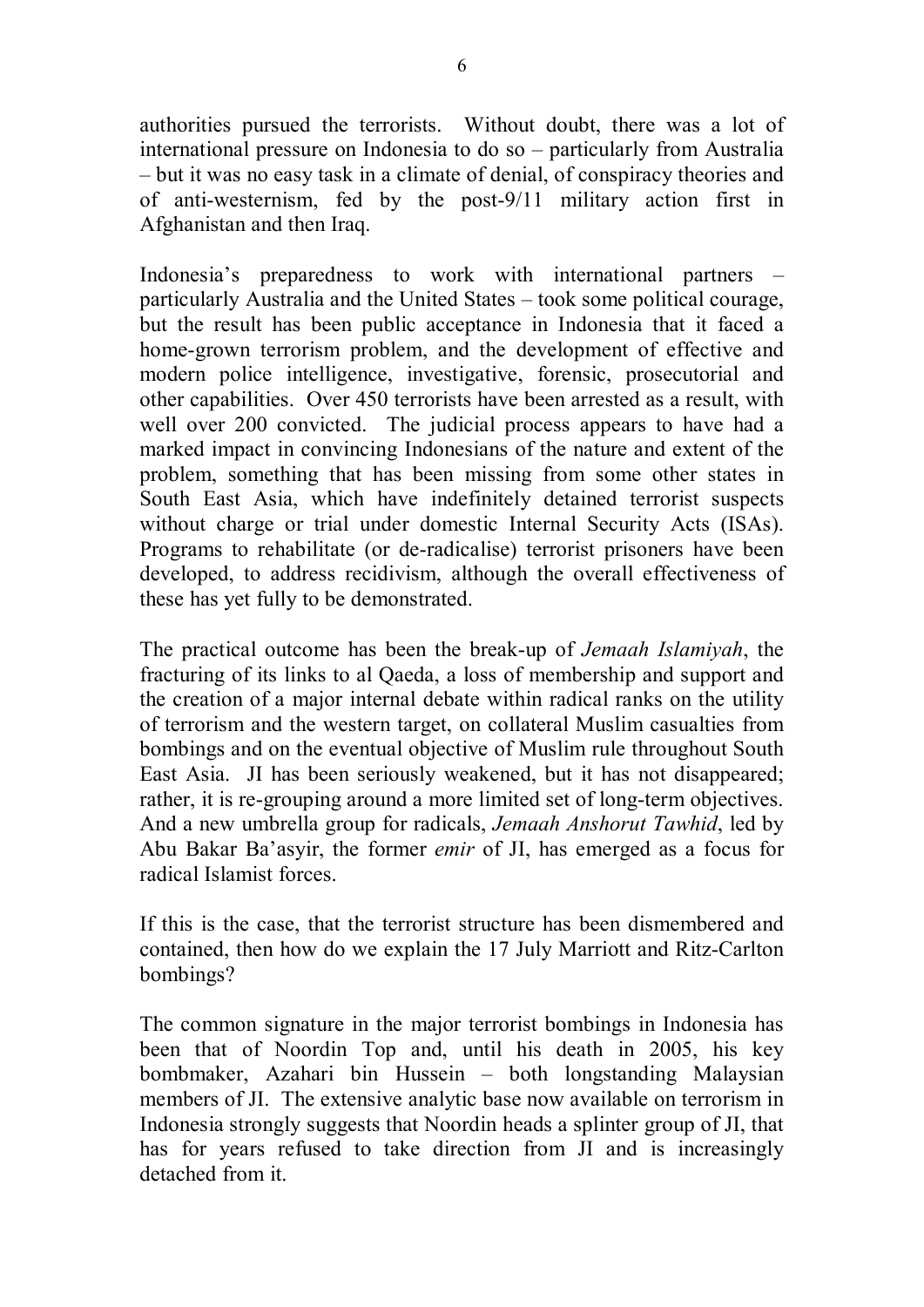authorities pursued the terrorists. Without doubt, there was a lot of international pressure on Indonesia to do so – particularly from Australia – but it was no easy task in a climate of denial, of conspiracy theories and of anti-westernism, fed by the post-9/11 military action first in Afghanistan and then Iraq.

Indonesia's preparedness to work with international partners – particularly Australia and the United States – took some political courage, but the result has been public acceptance in Indonesia that it faced a home-grown terrorism problem, and the development of effective and modern police intelligence, investigative, forensic, prosecutorial and other capabilities. Over 450 terrorists have been arrested as a result, with well over 200 convicted. The judicial process appears to have had a marked impact in convincing Indonesians of the nature and extent of the problem, something that has been missing from some other states in South East Asia, which have indefinitely detained terrorist suspects without charge or trial under domestic Internal Security Acts (ISAs). Programs to rehabilitate (or de-radicalise) terrorist prisoners have been developed, to address recidivism, although the overall effectiveness of these has yet fully to be demonstrated.

The practical outcome has been the break-up of *Jemaah Islamiyah*, the fracturing of its links to al Qaeda, a loss of membership and support and the creation of a major internal debate within radical ranks on the utility of terrorism and the western target, on collateral Muslim casualties from bombings and on the eventual objective of Muslim rule throughout South East Asia. JI has been seriously weakened, but it has not disappeared; rather, it is re-grouping around a more limited set of long-term objectives. And a new umbrella group for radicals, *Jemaah Anshorut Tawhid*, led by Abu Bakar Ba'asyir, the former *emir* of JI, has emerged as a focus for radical Islamist forces.

If this is the case, that the terrorist structure has been dismembered and contained, then how do we explain the 17 July Marriott and Ritz-Carlton bombings?

The common signature in the major terrorist bombings in Indonesia has been that of Noordin Top and, until his death in 2005, his key bombmaker, Azahari bin Hussein – both longstanding Malaysian members of JI. The extensive analytic base now available on terrorism in Indonesia strongly suggests that Noordin heads a splinter group of JI, that has for years refused to take direction from JI and is increasingly detached from it.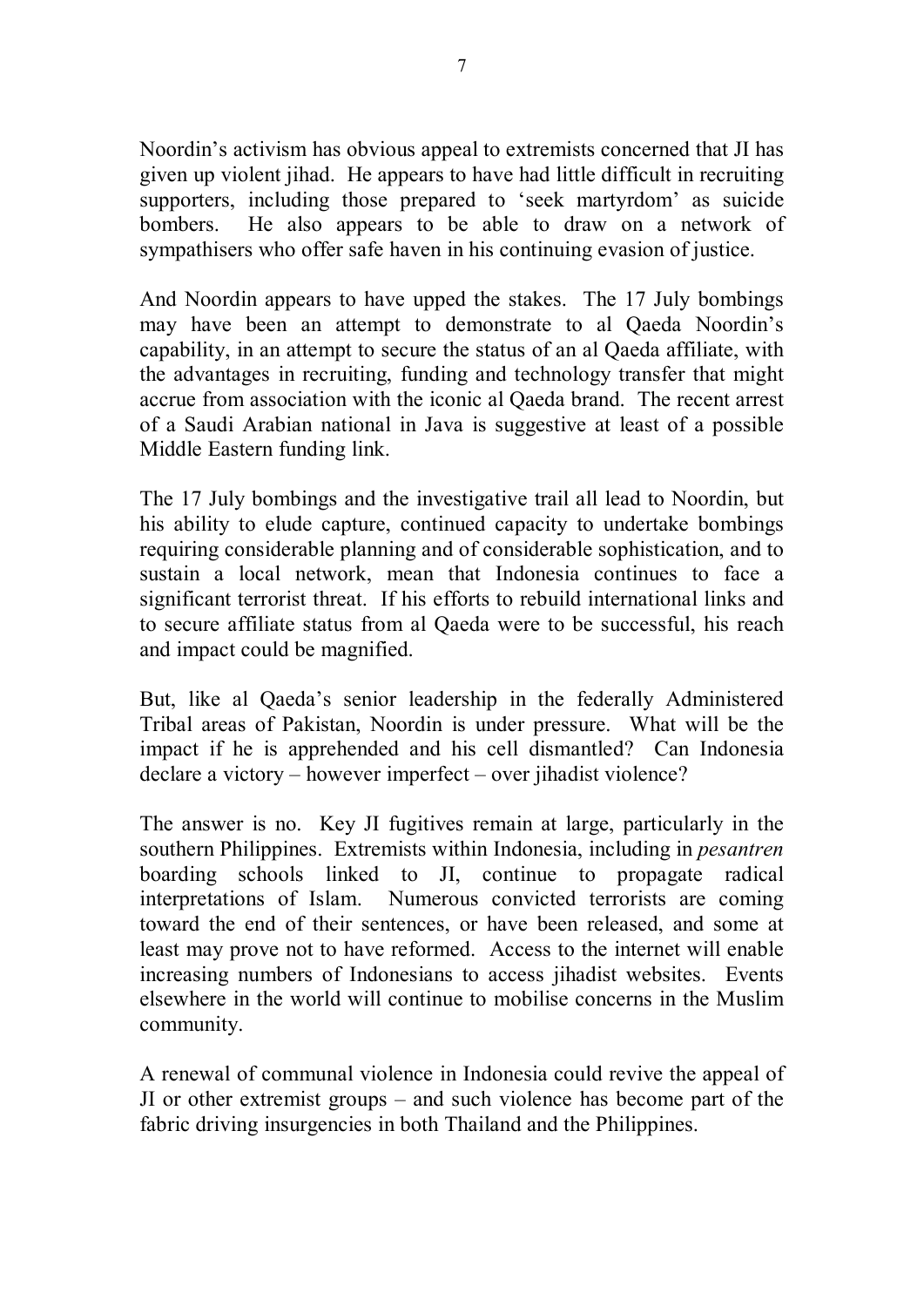Noordin's activism has obvious appeal to extremists concerned that JI has given up violent jihad. He appears to have had little difficult in recruiting supporters, including those prepared to 'seek martyrdom' as suicide bombers. He also appears to be able to draw on a network of sympathisers who offer safe haven in his continuing evasion of justice.

And Noordin appears to have upped the stakes. The 17 July bombings may have been an attempt to demonstrate to al Qaeda Noordin's capability, in an attempt to secure the status of an al Qaeda affiliate, with the advantages in recruiting, funding and technology transfer that might accrue from association with the iconic al Qaeda brand. The recent arrest of a Saudi Arabian national in Java is suggestive at least of a possible Middle Eastern funding link.

The 17 July bombings and the investigative trail all lead to Noordin, but his ability to elude capture, continued capacity to undertake bombings requiring considerable planning and of considerable sophistication, and to sustain a local network, mean that Indonesia continues to face a significant terrorist threat. If his efforts to rebuild international links and to secure affiliate status from al Qaeda were to be successful, his reach and impact could be magnified.

But, like al Qaeda's senior leadership in the federally Administered Tribal areas of Pakistan, Noordin is under pressure. What will be the impact if he is apprehended and his cell dismantled? Can Indonesia declare a victory – however imperfect – over jihadist violence?

The answer is no. Key JI fugitives remain at large, particularly in the southern Philippines. Extremists within Indonesia, including in *pesantren* boarding schools linked to JI, continue to propagate radical interpretations of Islam. Numerous convicted terrorists are coming toward the end of their sentences, or have been released, and some at least may prove not to have reformed. Access to the internet will enable increasing numbers of Indonesians to access jihadist websites. Events elsewhere in the world will continue to mobilise concerns in the Muslim community.

A renewal of communal violence in Indonesia could revive the appeal of JI or other extremist groups – and such violence has become part of the fabric driving insurgencies in both Thailand and the Philippines.